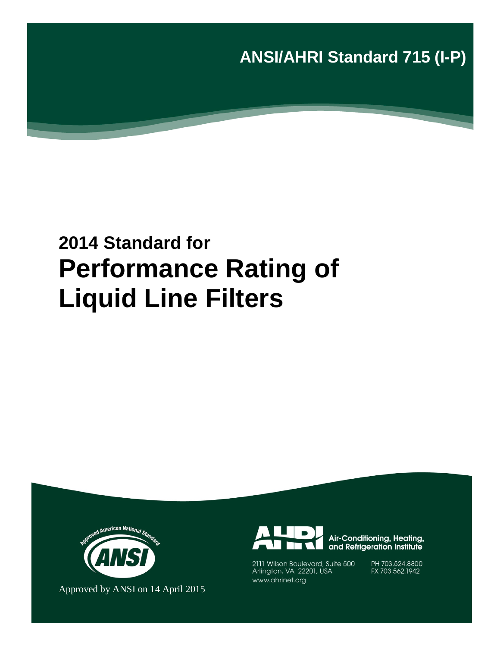**ANSI/AHRI Standard 715 (I-P)**

# **2014 Standard for Performance Rating of Liquid Line Filters**



Approved by ANSI on 14 April 2015



Air-Conditioning, Heating, and Refrigeration Institute

2111 Wilson Boulevard, Suite 500 Arlington, VA 22201, USA www.ahrinet.org

PH 703.524.8800 FX 703.562.1942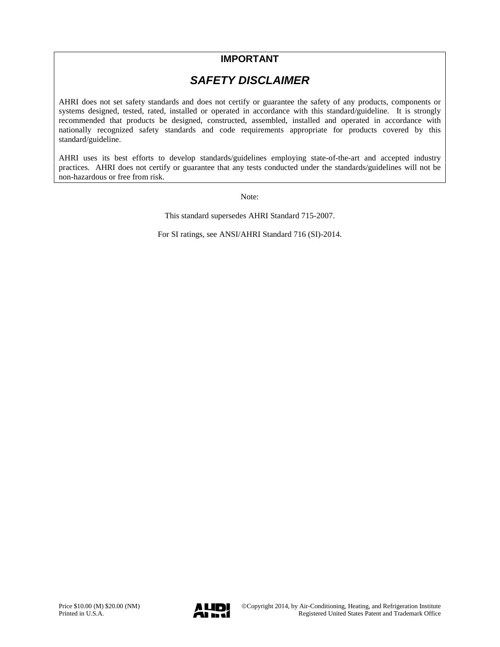### **IMPORTANT**

### *SAFETY DISCLAIMER*

AHRI does not set safety standards and does not certify or guarantee the safety of any products, components or systems designed, tested, rated, installed or operated in accordance with this standard/guideline. It is strongly recommended that products be designed, constructed, assembled, installed and operated in accordance with nationally recognized safety standards and code requirements appropriate for products covered by this standard/guideline.

AHRI uses its best efforts to develop standards/guidelines employing state-of-the-art and accepted industry practices. AHRI does not certify or guarantee that any tests conducted under the standards/guidelines will not be non-hazardous or free from risk.

Note:

This standard supersedes AHRI Standard 715-2007.

For SI ratings, see ANSI/AHRI Standard 716 (SI)-2014.

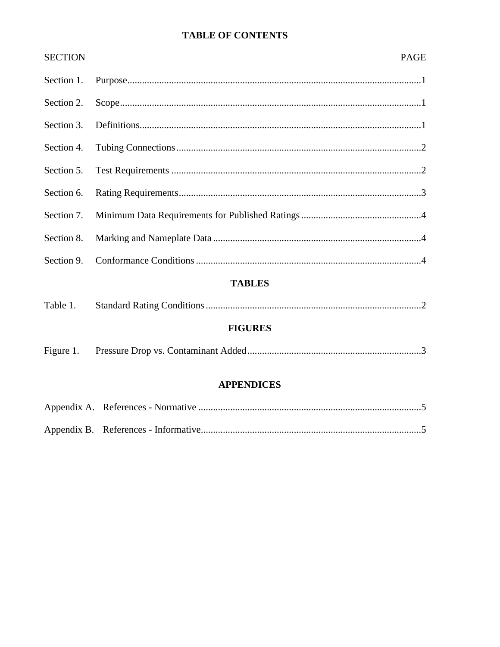### **TABLE OF CONTENTS**

| <b>SECTION</b> |                   | <b>PAGE</b> |
|----------------|-------------------|-------------|
| Section 1.     |                   |             |
| Section 2.     |                   |             |
| Section 3.     |                   |             |
| Section 4.     |                   |             |
| Section 5.     |                   |             |
| Section 6.     |                   |             |
| Section 7.     |                   |             |
| Section 8.     |                   |             |
| Section 9.     |                   |             |
|                | <b>TABLES</b>     |             |
| Table 1.       |                   |             |
|                | <b>FIGURES</b>    |             |
| Figure 1.      |                   |             |
|                | <b>APPENDICES</b> |             |
|                |                   |             |
|                |                   |             |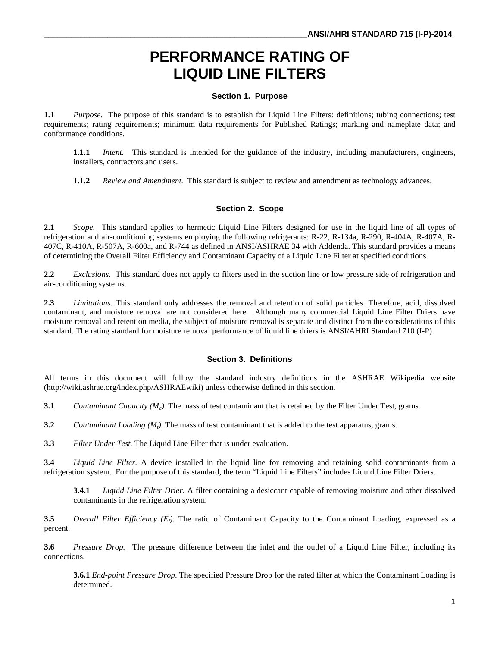## **PERFORMANCE RATING OF LIQUID LINE FILTERS**

#### **Section 1. Purpose**

**1.1** *Purpose.* The purpose of this standard is to establish for Liquid Line Filters: definitions; tubing connections; test requirements; rating requirements; minimum data requirements for Published Ratings; marking and nameplate data; and conformance conditions.

**1.1.1** *Intent.* This standard is intended for the guidance of the industry, including manufacturers, engineers, installers, contractors and users.

**1.1.2** *Review and Amendment.* This standard is subject to review and amendment as technology advances.

#### **Section 2. Scope**

**2.1** *Scope.* This standard applies to hermetic Liquid Line Filters designed for use in the liquid line of all types of refrigeration and air-conditioning systems employing the following refrigerants: R-22, R-134a, R-290, R-404A, R-407A, R-407C, R-410A, R-507A, R-600a, and R-744 as defined in ANSI/ASHRAE 34 with Addenda. This standard provides a means of determining the Overall Filter Efficiency and Contaminant Capacity of a Liquid Line Filter at specified conditions.

**2.2** *Exclusions*. This standard does not apply to filters used in the suction line or low pressure side of refrigeration and air-conditioning systems.

**2.3** *Limitations.* This standard only addresses the removal and retention of solid particles. Therefore, acid, dissolved contaminant, and moisture removal are not considered here. Although many commercial Liquid Line Filter Driers have moisture removal and retention media, the subject of moisture removal is separate and distinct from the considerations of this standard. The rating standard for moisture removal performance of liquid line driers is ANSI/AHRI Standard 710 (I-P).

#### **Section 3. Definitions**

All terms in this document will follow the standard industry definitions in the ASHRAE Wikipedia website (http://wiki.ashrae.org/index.php/ASHRAEwiki) unless otherwise defined in this section.

**3.1** *Contaminant Capacity (M<sub>c</sub>).* The mass of test contaminant that is retained by the Filter Under Test, grams.

**3.2** *Contaminant Loading*  $(M_t)$ *. The mass of test contaminant that is added to the test apparatus, grams.* 

**3.3** *Filter Under Test.* The Liquid Line Filter that is under evaluation.

**3.4** *Liquid Line Filter.* A device installed in the liquid line for removing and retaining solid contaminants from a refrigeration system. For the purpose of this standard, the term "Liquid Line Filters" includes Liquid Line Filter Driers.

**3.4.1** *Liquid Line Filter Drier.* A filter containing a desiccant capable of removing moisture and other dissolved contaminants in the refrigeration system.

**3.5** *Overall Filter Efficiency (Ef).* The ratio of Contaminant Capacity to the Contaminant Loading, expressed as a percent.

**3.6** *Pressure Drop.* The pressure difference between the inlet and the outlet of a Liquid Line Filter, including its connections.

**3.6.1** *End-point Pressure Drop*. The specified Pressure Drop for the rated filter at which the Contaminant Loading is determined.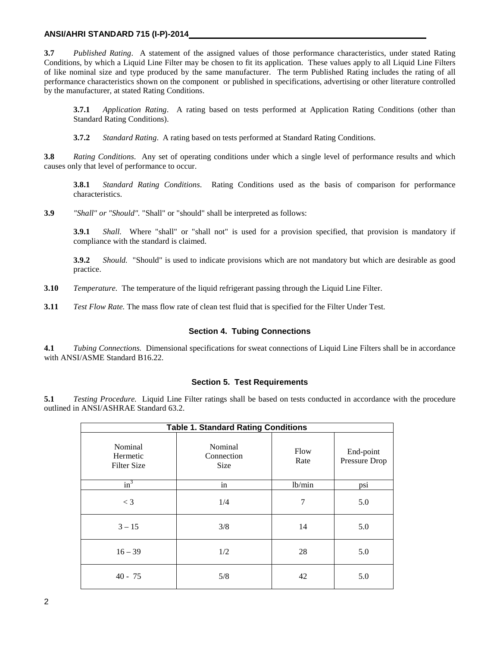#### **ANSI/AHRI STANDARD 715 (I-P)-2014**

**3.7** *Published Rating*. A statement of the assigned values of those performance characteristics, under stated Rating Conditions, by which a Liquid Line Filter may be chosen to fit its application. These values apply to all Liquid Line Filters of like nominal size and type produced by the same manufacturer. The term Published Rating includes the rating of all performance characteristics shown on the component or published in specifications, advertising or other literature controlled by the manufacturer, at stated Rating Conditions.

**3.7.1** *Application Rating*. A rating based on tests performed at Application Rating Conditions (other than Standard Rating Conditions).

**3.7.2** *Standard Rating*. A rating based on tests performed at Standard Rating Conditions.

**3.8** *Rating Conditions*. Any set of operating conditions under which a single level of performance results and which causes only that level of performance to occur.

**3.8.1** *Standard Rating Conditions*. Rating Conditions used as the basis of comparison for performance characteristics.

**3.9** *"Shall" or "Should".* "Shall" or "should" shall be interpreted as follows:

**3.9.1** *Shall.* Where "shall" or "shall not" is used for a provision specified, that provision is mandatory if compliance with the standard is claimed.

**3.9.2** *Should.* "Should" is used to indicate provisions which are not mandatory but which are desirable as good practice.

- **3.10** *Temperature.* The temperature of the liquid refrigerant passing through the Liquid Line Filter.
- **3.11** *Test Flow Rate.* The mass flow rate of clean test fluid that is specified for the Filter Under Test.

#### **Section 4. Tubing Connections**

**4.1** *Tubing Connections.* Dimensional specifications for sweat connections of Liquid Line Filters shall be in accordance with ANSI/ASME Standard B16.22.

#### **Section 5. Test Requirements**

**5.1** *Testing Procedure.* Liquid Line Filter ratings shall be based on tests conducted in accordance with the procedure outlined in ANSI/ASHRAE Standard 63.2.

| <b>Table 1. Standard Rating Conditions</b> |                                      |              |                            |  |  |
|--------------------------------------------|--------------------------------------|--------------|----------------------------|--|--|
| Nominal<br>Hermetic<br><b>Filter Size</b>  | Nominal<br>Connection<br><b>Size</b> | Flow<br>Rate | End-point<br>Pressure Drop |  |  |
| $in^3$                                     | in                                   | lb/min       | psi                        |  |  |
| $\lt$ 3                                    | 1/4                                  | 7            | 5.0                        |  |  |
| $3 - 15$                                   | 3/8                                  | 14           | 5.0                        |  |  |
| $16 - 39$                                  | 1/2                                  | 28           | 5.0                        |  |  |
| $40 - 75$                                  | 5/8                                  | 42           | 5.0                        |  |  |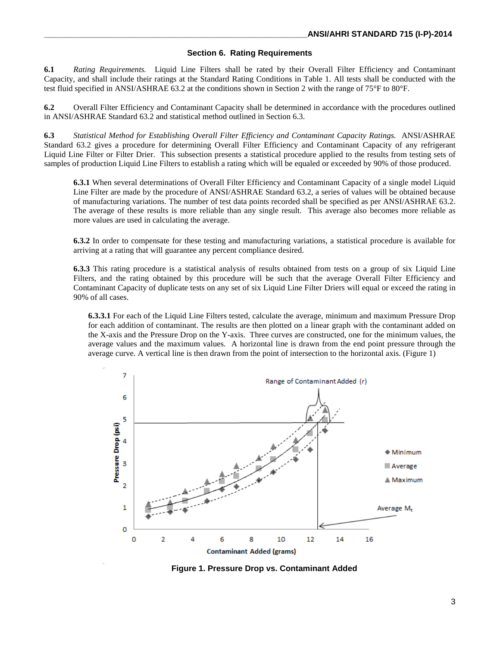#### **Section 6. Rating Requirements**

**6.1** *Rating Requirements.* Liquid Line Filters shall be rated by their Overall Filter Efficiency and Contaminant Capacity, and shall include their ratings at the Standard Rating Conditions in Table 1. All tests shall be conducted with the test fluid specified in ANSI/ASHRAE 63.2 at the conditions shown in Section 2 with the range of 75°F to 80°F.

**6.2** Overall Filter Efficiency and Contaminant Capacity shall be determined in accordance with the procedures outlined in ANSI/ASHRAE Standard 63.2 and statistical method outlined in Section 6.3.

**6.3** *Statistical Method for Establishing Overall Filter Efficiency and Contaminant Capacity Ratings.* ANSI/ASHRAE Standard 63.2 gives a procedure for determining Overall Filter Efficiency and Contaminant Capacity of any refrigerant Liquid Line Filter or Filter Drier. This subsection presents a statistical procedure applied to the results from testing sets of samples of production Liquid Line Filters to establish a rating which will be equaled or exceeded by 90% of those produced.

**6.3.1** When several determinations of Overall Filter Efficiency and Contaminant Capacity of a single model Liquid Line Filter are made by the procedure of ANSI/ASHRAE Standard 63.2, a series of values will be obtained because of manufacturing variations. The number of test data points recorded shall be specified as per ANSI/ASHRAE 63.2. The average of these results is more reliable than any single result. This average also becomes more reliable as more values are used in calculating the average.

**6.3.2** In order to compensate for these testing and manufacturing variations, a statistical procedure is available for arriving at a rating that will guarantee any percent compliance desired.

**6.3.3** This rating procedure is a statistical analysis of results obtained from tests on a group of six Liquid Line Filters, and the rating obtained by this procedure will be such that the average Overall Filter Efficiency and Contaminant Capacity of duplicate tests on any set of six Liquid Line Filter Driers will equal or exceed the rating in 90% of all cases.

**6.3.3.1** For each of the Liquid Line Filters tested, calculate the average, minimum and maximum Pressure Drop for each addition of contaminant. The results are then plotted on a linear graph with the contaminant added on the X-axis and the Pressure Drop on the Y-axis. Three curves are constructed, one for the minimum values, the average values and the maximum values. A horizontal line is drawn from the end point pressure through the average curve. A vertical line is then drawn from the point of intersection to the horizontal axis. (Figure 1)



**Figure 1. Pressure Drop vs. Contaminant Added**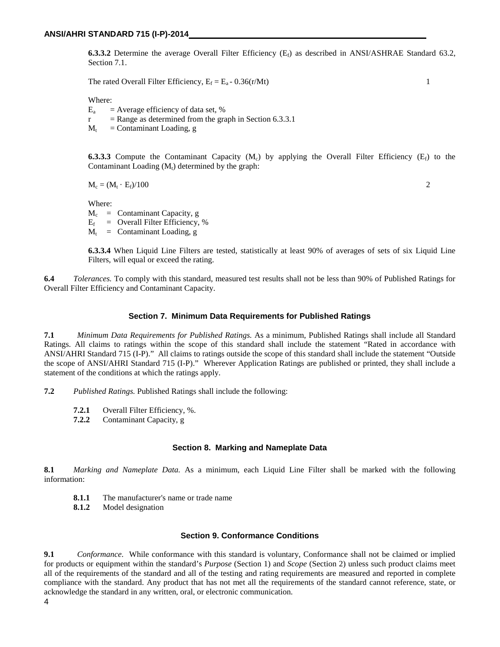**6.3.3.2** Determine the average Overall Filter Efficiency  $(E_f)$  as described in ANSI/ASHRAE Standard 63.2, Section 7.1.

The rated Overall Filter Efficiency,  $E_f = E_a - 0.36(r/Mt)$  1

Where:

 $E_a$  = Average efficiency of data set, %

 $r =$ Range as determined from the graph in Section 6.3.3.1

 $M_t$  = Contaminant Loading, g

**6.3.3.3** Compute the Contaminant Capacity  $(M_c)$  by applying the Overall Filter Efficiency  $(E_f)$  to the Contaminant Loading  $(M_t)$  determined by the graph:

 $M_c = (M_t \cdot E_f)/100$  2

Where:

 $M_c$  = Contaminant Capacity, g

 $E_f$  = Overall Filter Efficiency, %

 $M_t$  = Contaminant Loading, g

**6.3.3.4** When Liquid Line Filters are tested, statistically at least 90% of averages of sets of six Liquid Line Filters, will equal or exceed the rating.

**6.4** *Tolerances.* To comply with this standard, measured test results shall not be less than 90% of Published Ratings for Overall Filter Efficiency and Contaminant Capacity.

#### **Section 7. Minimum Data Requirements for Published Ratings**

**7.1** *Minimum Data Requirements for Published Ratings.* As a minimum, Published Ratings shall include all Standard Ratings. All claims to ratings within the scope of this standard shall include the statement "Rated in accordance with ANSI/AHRI Standard 715 (I-P)." All claims to ratings outside the scope of this standard shall include the statement "Outside the scope of ANSI/AHRI Standard 715 (I-P)." Wherever Application Ratings are published or printed, they shall include a statement of the conditions at which the ratings apply.

**7.2** *Published Ratings.* Published Ratings shall include the following:

- **7.2.1** Overall Filter Efficiency, %.<br>**7.2.2** Contaminant Capacity, g
- **7.2.2** Contaminant Capacity, g

#### **Section 8. Marking and Nameplate Data**

**8.1** *Marking and Nameplate Data.* As a minimum, each Liquid Line Filter shall be marked with the following information:

- **8.1.1** The manufacturer's name or trade name
- **8.1.2** Model designation

#### **Section 9. Conformance Conditions**

**9.1** *Conformance*. While conformance with this standard is voluntary, Conformance shall not be claimed or implied for products or equipment within the standard's *Purpose* (Section 1) and *Scope* (Section 2) unless such product claims meet all of the requirements of the standard and all of the testing and rating requirements are measured and reported in complete compliance with the standard. Any product that has not met all the requirements of the standard cannot reference, state, or acknowledge the standard in any written, oral, or electronic communication.